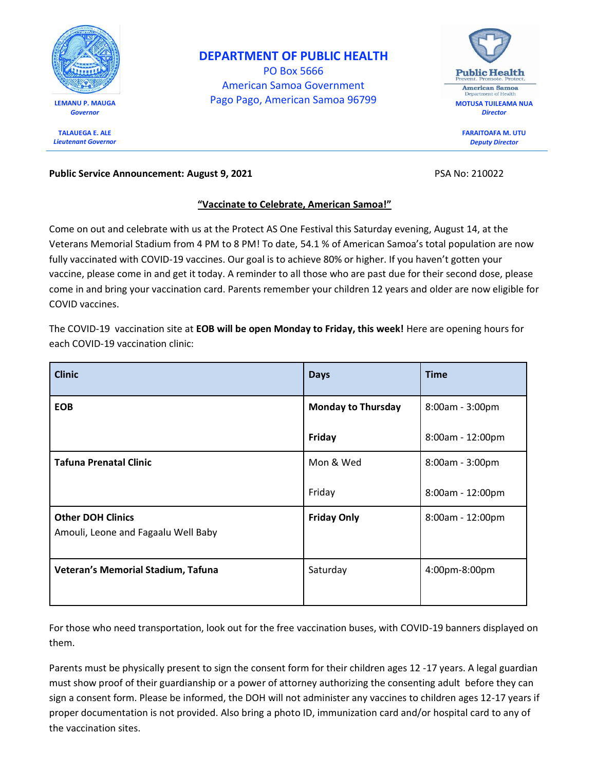

**TALAUEGA E. ALE** *Lieutenant Governor*

## **DEPARTMENT OF PUBLIC HEALTH**

PO Box 5666 American Samoa Government LEMANU P. MAUGA<br> **LEMANU P. MAUGA** 



**FARAITOAFA M. UTU** *Deputy Director*

## **Public Service Announcement: August 9, 2021 PSA No: 210022 PSA No: 210022**

## **"Vaccinate to Celebrate, American Samoa!"**

Come on out and celebrate with us at the Protect AS One Festival this Saturday evening, August 14, at the Veterans Memorial Stadium from 4 PM to 8 PM! To date, 54.1 % of American Samoa's total population are now fully vaccinated with COVID-19 vaccines. Our goal is to achieve 80% or higher. If you haven't gotten your vaccine, please come in and get it today. A reminder to all those who are past due for their second dose, please come in and bring your vaccination card. Parents remember your children 12 years and older are now eligible for COVID vaccines.

The COVID-19 vaccination site at **EOB will be open Monday to Friday, this week!** Here are opening hours for each COVID-19 vaccination clinic:

| <b>Clinic</b>                                                   | <b>Days</b>               | <b>Time</b>        |
|-----------------------------------------------------------------|---------------------------|--------------------|
| <b>EOB</b>                                                      | <b>Monday to Thursday</b> | $8:00am - 3:00pm$  |
|                                                                 | Friday                    | $8:00am - 12:00pm$ |
| <b>Tafuna Prenatal Clinic</b>                                   | Mon & Wed                 | $8:00am - 3:00pm$  |
|                                                                 | Friday                    | 8:00am - 12:00pm   |
| <b>Other DOH Clinics</b><br>Amouli, Leone and Fagaalu Well Baby | <b>Friday Only</b>        | 8:00am - 12:00pm   |
| Veteran's Memorial Stadium, Tafuna                              | Saturday                  | 4:00pm-8:00pm      |

For those who need transportation, look out for the free vaccination buses, with COVID-19 banners displayed on them.

Parents must be physically present to sign the consent form for their children ages 12 -17 years. A legal guardian must show proof of their guardianship or a power of attorney authorizing the consenting adult before they can sign a consent form. Please be informed, the DOH will not administer any vaccines to children ages 12-17 years if proper documentation is not provided. Also bring a photo ID, immunization card and/or hospital card to any of the vaccination sites.